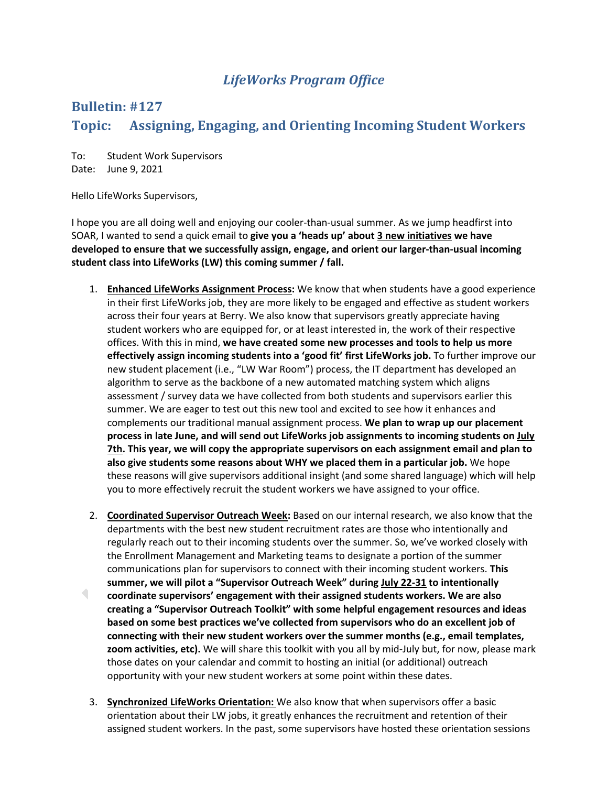## *LifeWorks Program Office*

## **Bulletin: #127**

## Topic: Assigning, Engaging, and Orienting Incoming Student Workers

To: Student Work Supervisors Date: June 9, 2021

Hello LifeWorks Supervisors,

I hope you are all doing well and enjoying our cooler-than-usual summer. As we jump headfirst into SOAR, I wanted to send a quick email to **give you a 'heads up' about 3 new initiatives we have developed to ensure that we successfully assign, engage, and orient our larger-than-usual incoming student class into LifeWorks (LW) this coming summer / fall.** 

- 1. **Enhanced LifeWorks Assignment Process:** We know that when students have a good experience in their first LifeWorks job, they are more likely to be engaged and effective as student workers across their four years at Berry. We also know that supervisors greatly appreciate having student workers who are equipped for, or at least interested in, the work of their respective offices. With this in mind, **we have created some new processes and tools to help us more effectively assign incoming students into a 'good fit' first LifeWorks job.** To further improve our new student placement (i.e., "LW War Room") process, the IT department has developed an algorithm to serve as the backbone of a new automated matching system which aligns assessment / survey data we have collected from both students and supervisors earlier this summer. We are eager to test out this new tool and excited to see how it enhances and complements our traditional manual assignment process. **We plan to wrap up our placement process in late June, and will send out LifeWorks job assignments to incoming students on July 7th. This year, we will copy the appropriate supervisors on each assignment email and plan to also give students some reasons about WHY we placed them in a particular job.** We hope these reasons will give supervisors additional insight (and some shared language) which will help you to more effectively recruit the student workers we have assigned to your office.
- 2. **Coordinated Supervisor Outreach Week:** Based on our internal research, we also know that the departments with the best new student recruitment rates are those who intentionally and regularly reach out to their incoming students over the summer. So, we've worked closely with the Enrollment Management and Marketing teams to designate a portion of the summer communications plan for supervisors to connect with their incoming student workers. **This summer, we will pilot a "Supervisor Outreach Week" during July 22-31 to intentionally**   $\blacksquare$ **coordinate supervisors' engagement with their assigned students workers. We are also creating a "Supervisor Outreach Toolkit" with some helpful engagement resources and ideas based on some best practices we've collected from supervisors who do an excellent job of connecting with their new student workers over the summer months (e.g., email templates, zoom activities, etc).** We will share this toolkit with you all by mid-July but, for now, please mark those dates on your calendar and commit to hosting an initial (or additional) outreach opportunity with your new student workers at some point within these dates.
	- 3. **Synchronized LifeWorks Orientation:** We also know that when supervisors offer a basic orientation about their LW jobs, it greatly enhances the recruitment and retention of their assigned student workers. In the past, some supervisors have hosted these orientation sessions